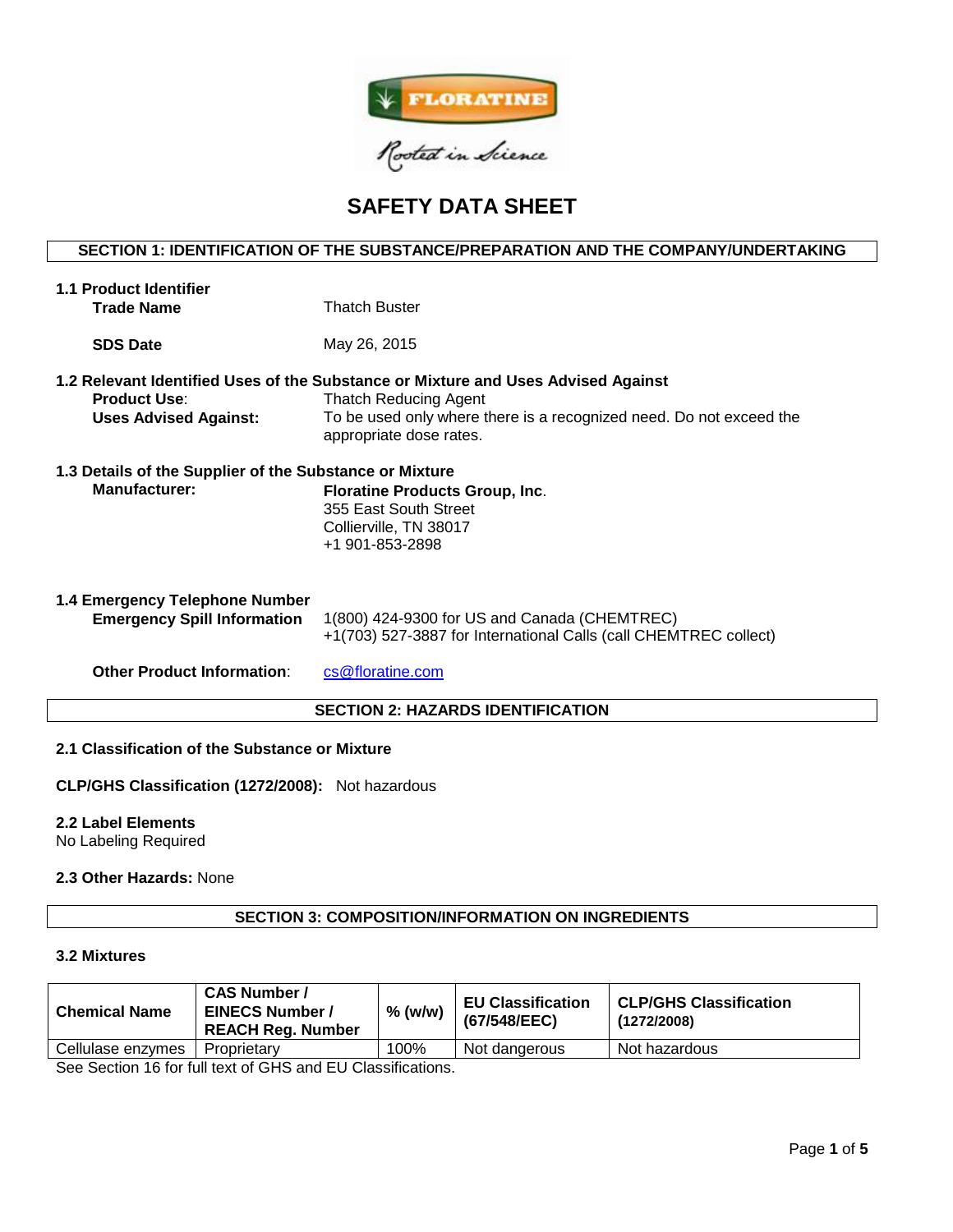

# **SAFETY DATA SHEET**

# **SECTION 1: IDENTIFICATION OF THE SUBSTANCE/PREPARATION AND THE COMPANY/UNDERTAKING**

| <b>1.1 Product Identifier</b><br><b>Trade Name</b>                       | <b>Thatch Buster</b>                                                                                                                                                                                                |  |  |
|--------------------------------------------------------------------------|---------------------------------------------------------------------------------------------------------------------------------------------------------------------------------------------------------------------|--|--|
| <b>SDS Date</b>                                                          | May 26, 2015                                                                                                                                                                                                        |  |  |
| <b>Product Use:</b><br><b>Uses Advised Against:</b>                      | 1.2 Relevant Identified Uses of the Substance or Mixture and Uses Advised Against<br><b>Thatch Reducing Agent</b><br>To be used only where there is a recognized need. Do not exceed the<br>appropriate dose rates. |  |  |
| 1.3 Details of the Supplier of the Substance or Mixture<br>Manufacturer: | <b>Floratine Products Group, Inc.</b><br>355 East South Street<br>Collierville, TN 38017<br>+1 901-853-2898                                                                                                         |  |  |
| 1.4 Emergency Telephone Number<br><b>Emergency Spill Information</b>     | 1(800) 424-9300 for US and Canada (CHEMTREC)<br>+1(703) 527-3887 for International Calls (call CHEMTREC collect)                                                                                                    |  |  |
| <b>Other Product Information:</b>                                        | cs@floratine.com                                                                                                                                                                                                    |  |  |
| <b>SECTION 2: HAZARDS IDENTIFICATION</b>                                 |                                                                                                                                                                                                                     |  |  |

## **2.1 Classification of the Substance or Mixture**

**CLP/GHS Classification (1272/2008):** Not hazardous

# **2.2 Label Elements**

No Labeling Required

# **2.3 Other Hazards:** None

# **SECTION 3: COMPOSITION/INFORMATION ON INGREDIENTS**

#### **3.2 Mixtures**

| <b>Chemical Name</b> | <b>CAS Number /</b><br><b>EINECS Number /</b><br><b>REACH Reg. Number</b> | $%$ (w/w) | <b>EU Classification</b><br>(67/548/EEC) | <b>CLP/GHS Classification</b><br>(1272/2008) |
|----------------------|---------------------------------------------------------------------------|-----------|------------------------------------------|----------------------------------------------|
| Cellulase enzymes    | Proprietary                                                               | 100%      | Not dangerous                            | Not hazardous                                |

See Section 16 for full text of GHS and EU Classifications.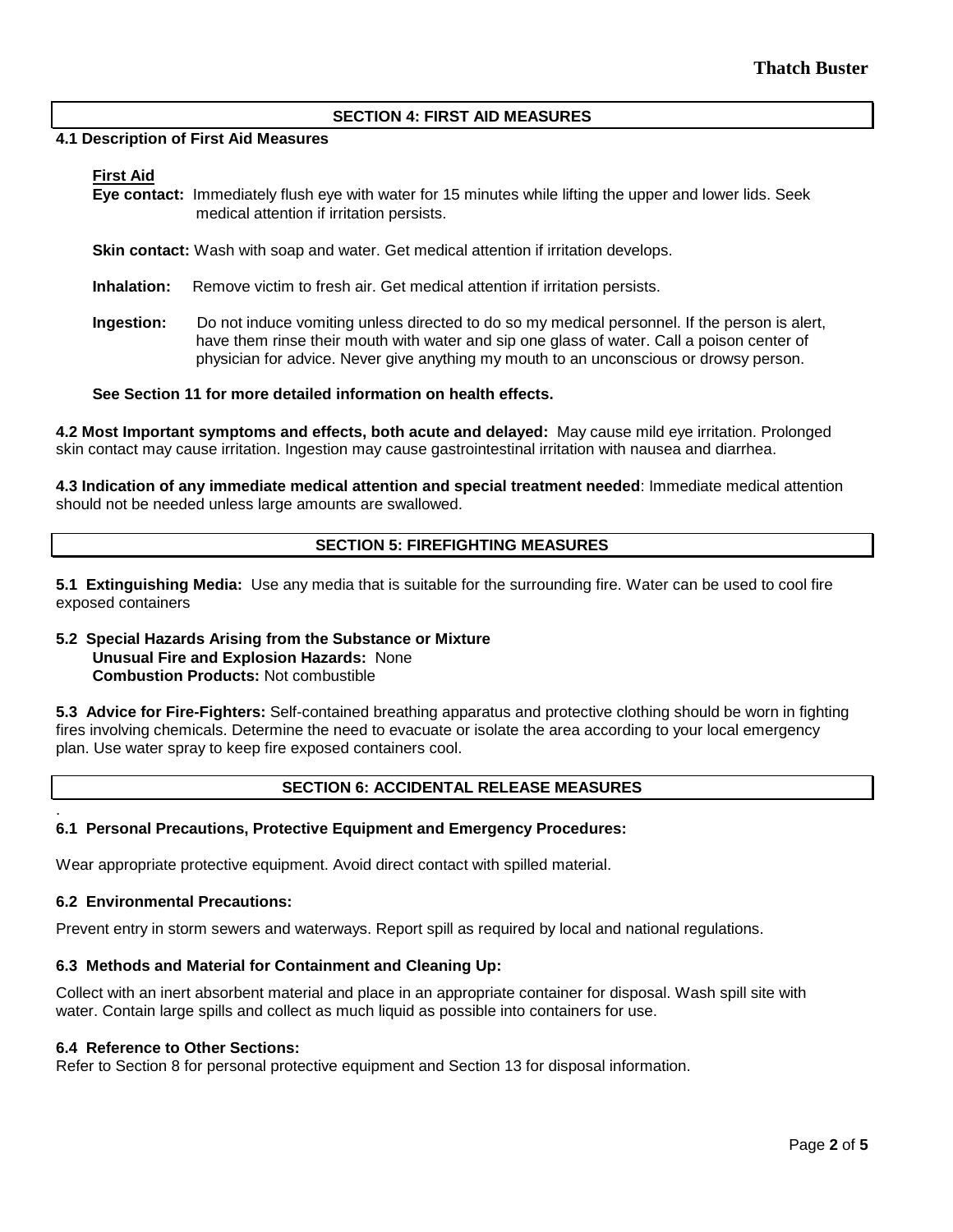## **SECTION 4: FIRST AID MEASURES**

#### **4.1 Description of First Aid Measures**

# **First Aid**

**Eye contact:** Immediately flush eye with water for 15 minutes while lifting the upper and lower lids. Seek medical attention if irritation persists.

**Skin contact:** Wash with soap and water. Get medical attention if irritation develops.

**Inhalation:** Remove victim to fresh air. Get medical attention if irritation persists.

**Ingestion:** Do not induce vomiting unless directed to do so my medical personnel. If the person is alert, have them rinse their mouth with water and sip one glass of water. Call a poison center of physician for advice. Never give anything my mouth to an unconscious or drowsy person.

## **See Section 11 for more detailed information on health effects.**

**4.2 Most Important symptoms and effects, both acute and delayed:** May cause mild eye irritation. Prolonged skin contact may cause irritation. Ingestion may cause gastrointestinal irritation with nausea and diarrhea.

**4.3 Indication of any immediate medical attention and special treatment needed**: Immediate medical attention should not be needed unless large amounts are swallowed.

# **SECTION 5: FIREFIGHTING MEASURES**

**5.1 Extinguishing Media:** Use any media that is suitable for the surrounding fire. Water can be used to cool fire exposed containers

# **5.2 Special Hazards Arising from the Substance or Mixture Unusual Fire and Explosion Hazards:** None **Combustion Products:** Not combustible

**5.3 Advice for Fire-Fighters:** Self-contained breathing apparatus and protective clothing should be worn in fighting fires involving chemicals. Determine the need to evacuate or isolate the area according to your local emergency plan. Use water spray to keep fire exposed containers cool.

# **SECTION 6: ACCIDENTAL RELEASE MEASURES**

#### . **6.1 Personal Precautions, Protective Equipment and Emergency Procedures:**

Wear appropriate protective equipment. Avoid direct contact with spilled material.

# **6.2 Environmental Precautions:**

Prevent entry in storm sewers and waterways. Report spill as required by local and national regulations.

# **6.3 Methods and Material for Containment and Cleaning Up:**

Collect with an inert absorbent material and place in an appropriate container for disposal. Wash spill site with water. Contain large spills and collect as much liquid as possible into containers for use.

#### **6.4 Reference to Other Sections:**

Refer to Section 8 for personal protective equipment and Section 13 for disposal information.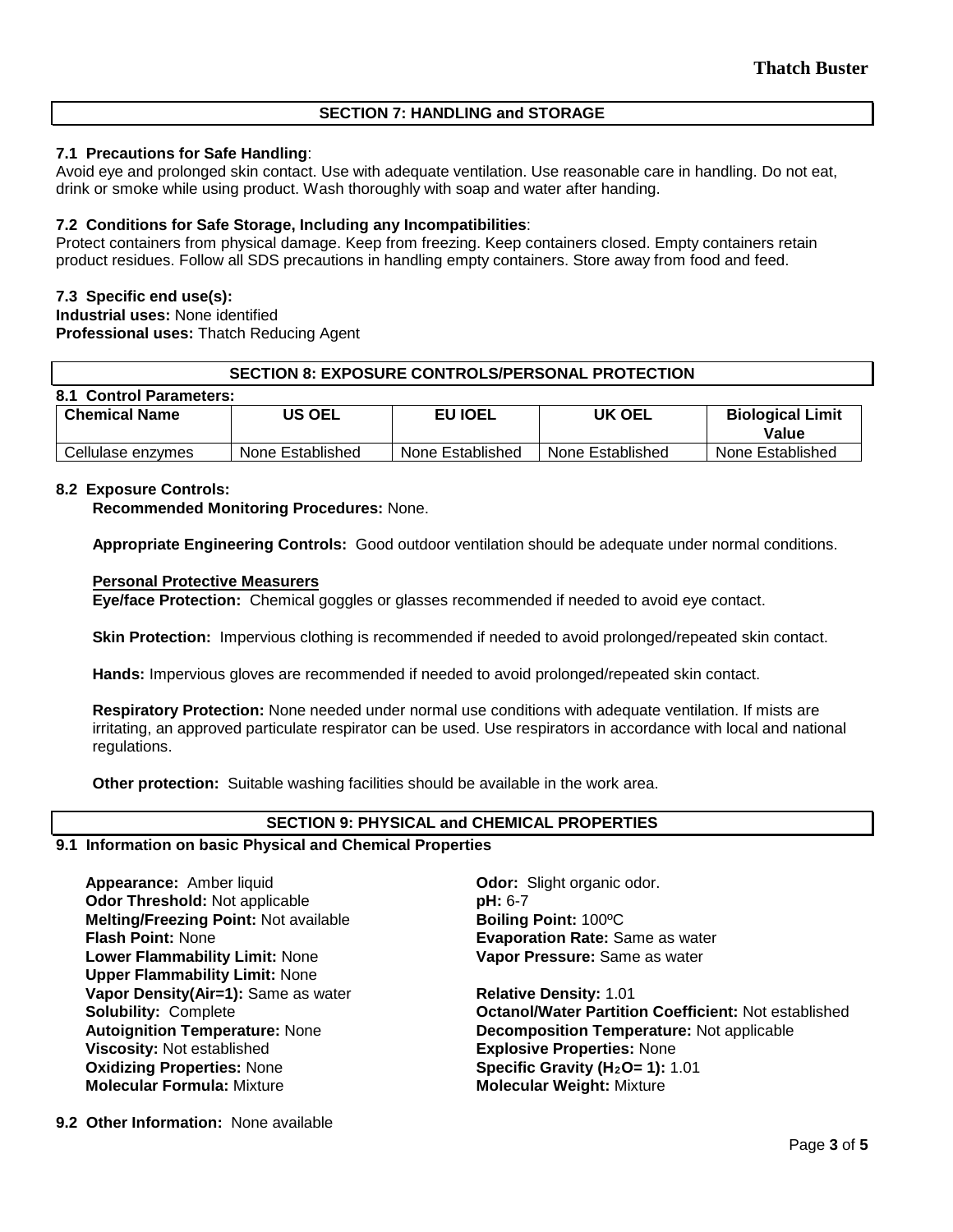# **SECTION 7: HANDLING and STORAGE**

# **7.1 Precautions for Safe Handling**:

Avoid eye and prolonged skin contact. Use with adequate ventilation. Use reasonable care in handling. Do not eat, drink or smoke while using product. Wash thoroughly with soap and water after handing.

# **7.2 Conditions for Safe Storage, Including any Incompatibilities**:

Protect containers from physical damage. Keep from freezing. Keep containers closed. Empty containers retain product residues. Follow all SDS precautions in handling empty containers. Store away from food and feed.

# **7.3 Specific end use(s):**

**Industrial uses:** None identified **Professional uses:** Thatch Reducing Agent

# **SECTION 8: EXPOSURE CONTROLS/PERSONAL PROTECTION**

| 8.1 Control Parameters:        |                  |                  |                  |                                  |  |  |  |  |  |
|--------------------------------|------------------|------------------|------------------|----------------------------------|--|--|--|--|--|
| <b>US OEL</b><br>Chemical Name |                  | <b>EU IOEL</b>   | <b>UK OEL</b>    | <b>Biological Limit</b><br>Value |  |  |  |  |  |
| Cellulase enzymes              | None Established | None Established | None Established | None Established                 |  |  |  |  |  |

# **8.2 Exposure Controls:**

**Recommended Monitoring Procedures:** None.

**Appropriate Engineering Controls:** Good outdoor ventilation should be adequate under normal conditions.

## **Personal Protective Measurers**

**Eye/face Protection:** Chemical goggles or glasses recommended if needed to avoid eye contact.

**Skin Protection:** Impervious clothing is recommended if needed to avoid prolonged/repeated skin contact.

**Hands:** Impervious gloves are recommended if needed to avoid prolonged/repeated skin contact.

**Respiratory Protection:** None needed under normal use conditions with adequate ventilation. If mists are irritating, an approved particulate respirator can be used. Use respirators in accordance with local and national regulations.

**Other protection:** Suitable washing facilities should be available in the work area.

# **SECTION 9: PHYSICAL and CHEMICAL PROPERTIES**

#### **9.1 Information on basic Physical and Chemical Properties**

**Appearance:** Amber liquid **Constanting Constanting Constanting Odor:** Slight organic odor. **Odor Threshold:** Not applicable **pH: 6-7 Melting/Freezing Point:** Not available **Boiling Point:** 100ºC **Flash Point:** None **Evaporation Rate:** Same as water **Lower Flammability Limit:** None **Upper Flammability Limit:** None **Vapor Density(Air=1):** Same as water **Relative Density: 1.01 Viscosity:** Not established **Explosive Properties:** None **Oxidizing Properties: None <b>Specific Gravity (H<sub>2</sub>O= 1):** 1.01<br> **Molecular Formula:** Mixture **State of Molecular Weight:** Mixture

**Vapor Pressure:** Same as water

**Solubility:** Complete **Octanol/Water Partition Coefficient:** Not established **Autoignition Temperature:** None **Decomposition Temperature:** Not applicable **Molecular Weight: Mixture** 

**9.2 Other Information:** None available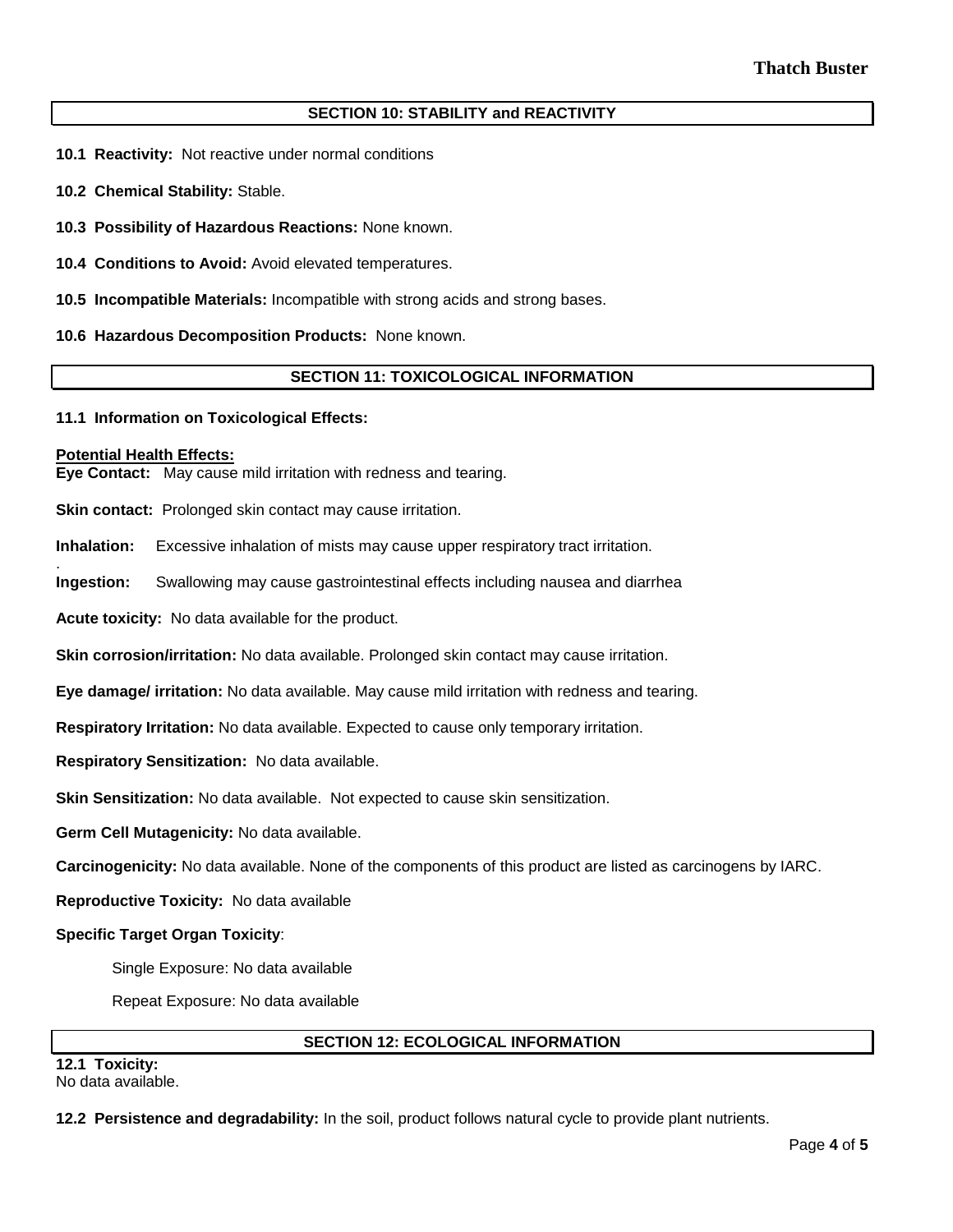# **SECTION 10: STABILITY and REACTIVITY**

- **10.1 Reactivity:** Not reactive under normal conditions
- **10.2 Chemical Stability:** Stable.
- **10.3 Possibility of Hazardous Reactions:** None known.
- **10.4 Conditions to Avoid:** Avoid elevated temperatures.
- **10.5 Incompatible Materials:** Incompatible with strong acids and strong bases.
- **10.6 Hazardous Decomposition Products:** None known.

## **SECTION 11: TOXICOLOGICAL INFORMATION**

#### **11.1 Information on Toxicological Effects:**

#### **Potential Health Effects:**

.

**Eye Contact:** May cause mild irritation with redness and tearing.

**Skin contact:** Prolonged skin contact may cause irritation.

**Inhalation:** Excessive inhalation of mists may cause upper respiratory tract irritation.

**Ingestion:** Swallowing may cause gastrointestinal effects including nausea and diarrhea

**Acute toxicity:** No data available for the product.

**Skin corrosion/irritation:** No data available. Prolonged skin contact may cause irritation.

**Eye damage/ irritation:** No data available. May cause mild irritation with redness and tearing.

**Respiratory Irritation:** No data available. Expected to cause only temporary irritation.

**Respiratory Sensitization:** No data available.

**Skin Sensitization:** No data available. Not expected to cause skin sensitization.

**Germ Cell Mutagenicity:** No data available.

**Carcinogenicity:** No data available. None of the components of this product are listed as carcinogens by IARC.

**Reproductive Toxicity:** No data available

## **Specific Target Organ Toxicity**:

Single Exposure: No data available

Repeat Exposure: No data available

## **SECTION 12: ECOLOGICAL INFORMATION**

**12.1 Toxicity:**  No data available.

**12.2 Persistence and degradability:** In the soil, product follows natural cycle to provide plant nutrients.